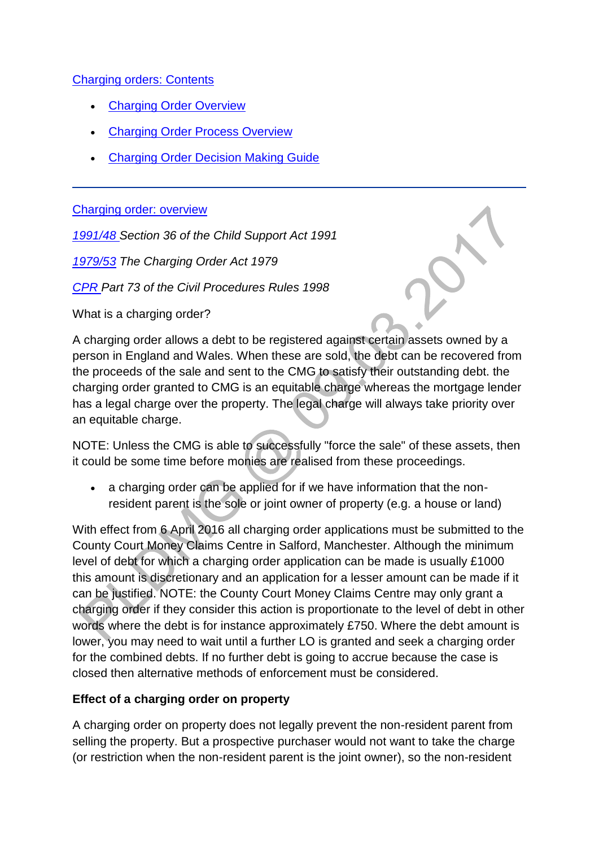### [Charging orders: Contents](http://np-cmg-sharepoint.link2.gpn.gov.uk/sites/policy-law-and-decision-making-guidance/Pages/Legal%20Enforcement%20-%20England%20and%20Wales/Charging-Orders.aspx)

- [Charging Order Overview](http://np-cmg-sharepoint.link2.gpn.gov.uk/sites/policy-law-and-decision-making-guidance/Pages/Legal%20Enforcement%20-%20England%20and%20Wales/Charging-Orders.aspx#coproverview)
- [Charging Order Process Overview](http://np-cmg-sharepoint.link2.gpn.gov.uk/sites/policy-law-and-decision-making-guidance/Pages/Legal%20Enforcement%20-%20England%20and%20Wales/Charging-Orders.aspx#coproverview)
- [Charging Order Decision Making Guide](http://np-cmg-sharepoint.link2.gpn.gov.uk/sites/policy-law-and-decision-making-guidance/Pages/Legal%20Enforcement%20-%20England%20and%20Wales/Charging-Orders.aspx#codmg)

#### [Charging order: overview](http://np-cmg-sharepoint.link2.gpn.gov.uk/sites/policy-law-and-decision-making-guidance/Pages/Legal%20Enforcement%20-%20England%20and%20Wales/Charging-Orders.aspx)

*[1991/48 S](http://www.legislation.gov.uk/ukpga/1991/48)ection 36 of the Child Support Act 1991*

*[1979/53](http://www.legislation.gov.uk/ukpga/1979/53/contents) The Charging Order Act 1979*

*[CPR P](https://www.justice.gov.uk/courts/procedure-rules/civil/rules)art 73 of the Civil Procedures Rules 1998*

What is a charging order?

A charging order allows a debt to be registered against certain assets owned by a person in England and Wales. When these are sold, the debt can be recovered from the proceeds of the sale and sent to the CMG to satisfy their outstanding debt. the charging order granted to CMG is an equitable charge whereas the mortgage lender has a legal charge over the property. The legal charge will always take priority over an equitable charge.

NOTE: Unless the CMG is able to successfully "force the sale" of these assets, then it could be some time before monies are realised from these proceedings.

 a charging order can be applied for if we have information that the nonresident parent is the sole or joint owner of property (e.g. a house or land)

With effect from 6 April 2016 all charging order applications must be submitted to the County Court Money Claims Centre in Salford, Manchester. Although the minimum level of debt for which a charging order application can be made is usually £1000 this amount is discretionary and an application for a lesser amount can be made if it can be justified. NOTE: the County Court Money Claims Centre may only grant a charging order if they consider this action is proportionate to the level of debt in other words where the debt is for instance approximately £750. Where the debt amount is lower, you may need to wait until a further LO is granted and seek a charging order for the combined debts. If no further debt is going to accrue because the case is closed then alternative methods of enforcement must be considered.

### **Effect of a charging order on property**

A charging order on property does not legally prevent the non-resident parent from selling the property. But a prospective purchaser would not want to take the charge (or restriction when the non-resident parent is the joint owner), so the non-resident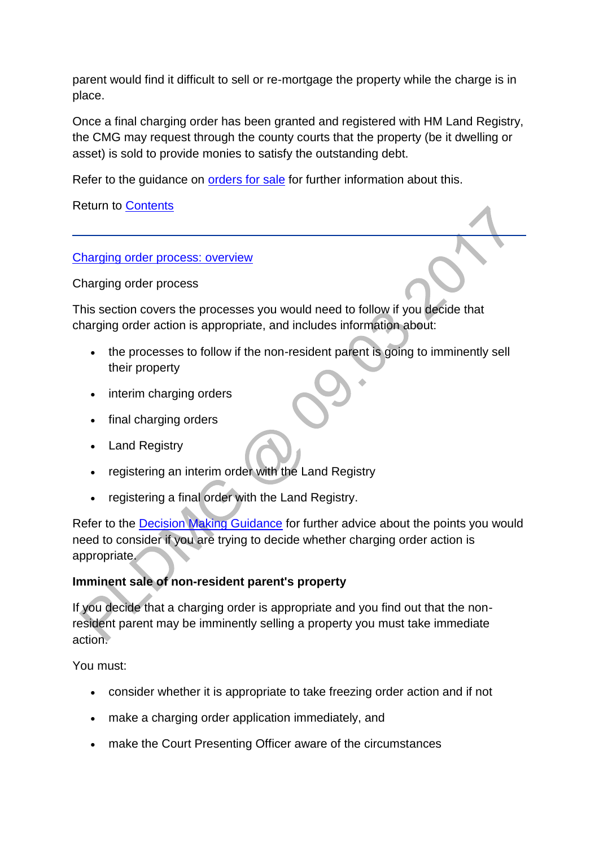parent would find it difficult to sell or re-mortgage the property while the charge is in place.

Once a final charging order has been granted and registered with HM Land Registry, the CMG may request through the county courts that the property (be it dwelling or asset) is sold to provide monies to satisfy the outstanding debt.

Refer to the guidance on [orders for sale](http://np-cmg-sharepoint.link2.gpn.gov.uk/sites/policy-law-and-decision-making-guidance/Pages/Legal%20Enforcement%20-%20England%20and%20Wales/Order-for-Sale.aspx) for further information about this.

Return to [Contents](http://np-cmg-sharepoint.link2.gpn.gov.uk/sites/policy-law-and-decision-making-guidance/Pages/Legal%20Enforcement%20-%20England%20and%20Wales/Charging-Orders.aspx#cocontent)

[Charging order process: overview](http://np-cmg-sharepoint.link2.gpn.gov.uk/sites/policy-law-and-decision-making-guidance/Pages/Legal%20Enforcement%20-%20England%20and%20Wales/Charging-Orders.aspx)

Charging order process

This section covers the processes you would need to follow if you decide that charging order action is appropriate, and includes information about:

- the processes to follow if the non-resident parent is going to imminently sell their property
- interim charging orders
- final charging orders
- Land Registry
- registering an interim order with the Land Registry
- registering a final order with the Land Registry.

Refer to the [Decision Making Guidance](http://np-cmg-sharepoint.link2.gpn.gov.uk/sites/policy-law-and-decision-making-guidance/Pages/Legal%20Enforcement%20-%20England%20and%20Wales/Charging-Orders.aspx#codmg) for further advice about the points you would need to consider if you are trying to decide whether charging order action is appropriate.

### **Imminent sale of non-resident parent's property**

If you decide that a charging order is appropriate and you find out that the nonresident parent may be imminently selling a property you must take immediate action.

You must:

- consider whether it is appropriate to take freezing order action and if not
- make a charging order application immediately, and
- make the Court Presenting Officer aware of the circumstances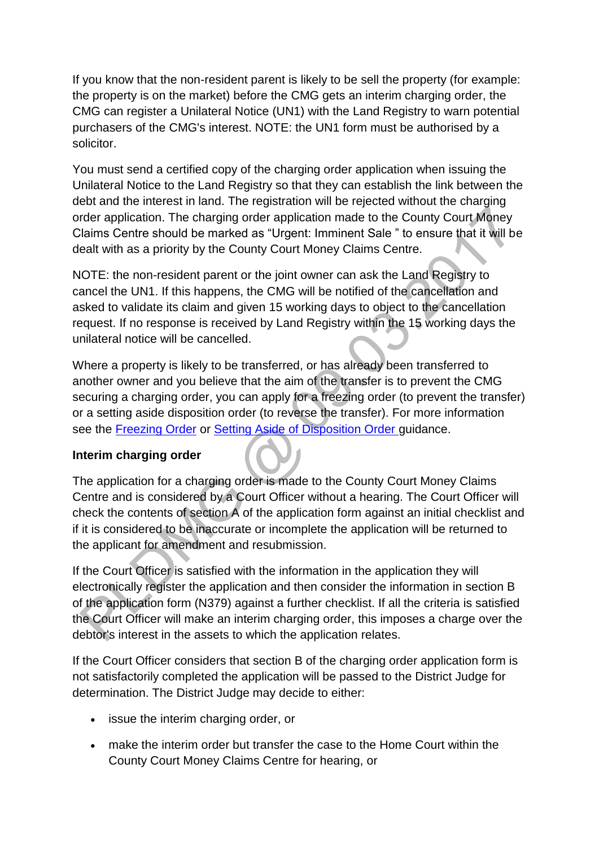If you know that the non-resident parent is likely to be sell the property (for example: the property is on the market) before the CMG gets an interim charging order, the CMG can register a Unilateral Notice (UN1) with the Land Registry to warn potential purchasers of the CMG's interest. NOTE: the UN1 form must be authorised by a solicitor.

You must send a certified copy of the charging order application when issuing the Unilateral Notice to the Land Registry so that they can establish the link between the debt and the interest in land. The registration will be rejected without the charging order application. The charging order application made to the County Court Money Claims Centre should be marked as "Urgent: Imminent Sale " to ensure that it will be dealt with as a priority by the County Court Money Claims Centre.

NOTE: the non-resident parent or the joint owner can ask the Land Registry to cancel the UN1. If this happens, the CMG will be notified of the cancellation and asked to validate its claim and given 15 working days to object to the cancellation request. If no response is received by Land Registry within the 15 working days the unilateral notice will be cancelled.

Where a property is likely to be transferred, or has already been transferred to another owner and you believe that the aim of the transfer is to prevent the CMG securing a charging order, you can apply for a freezing order (to prevent the transfer) or a setting aside disposition order (to reverse the transfer). For more information see the [Freezing Order](http://np-cmg-sharepoint.link2.gpn.gov.uk/sites/policy-law-and-decision-making-guidance/Pages/Legal%20Enforcement%20-%20England%20and%20Wales/Charging-Orders.aspx) or [Setting Aside of Disposition Order g](http://np-cmg-sharepoint.link2.gpn.gov.uk/sites/policy-law-and-decision-making-guidance/Pages/Legal%20Enforcement%20-%20England%20and%20Wales/Charging-Orders.aspx)uidance.

### **Interim charging order**

The application for a charging order is made to the County Court Money Claims Centre and is considered by a Court Officer without a hearing. The Court Officer will check the contents of section A of the application form against an initial checklist and if it is considered to be inaccurate or incomplete the application will be returned to the applicant for amendment and resubmission.

If the Court Officer is satisfied with the information in the application they will electronically register the application and then consider the information in section B of the application form (N379) against a further checklist. If all the criteria is satisfied the Court Officer will make an interim charging order, this imposes a charge over the debtor's interest in the assets to which the application relates.

If the Court Officer considers that section B of the charging order application form is not satisfactorily completed the application will be passed to the District Judge for determination. The District Judge may decide to either:

- issue the interim charging order, or
- make the interim order but transfer the case to the Home Court within the County Court Money Claims Centre for hearing, or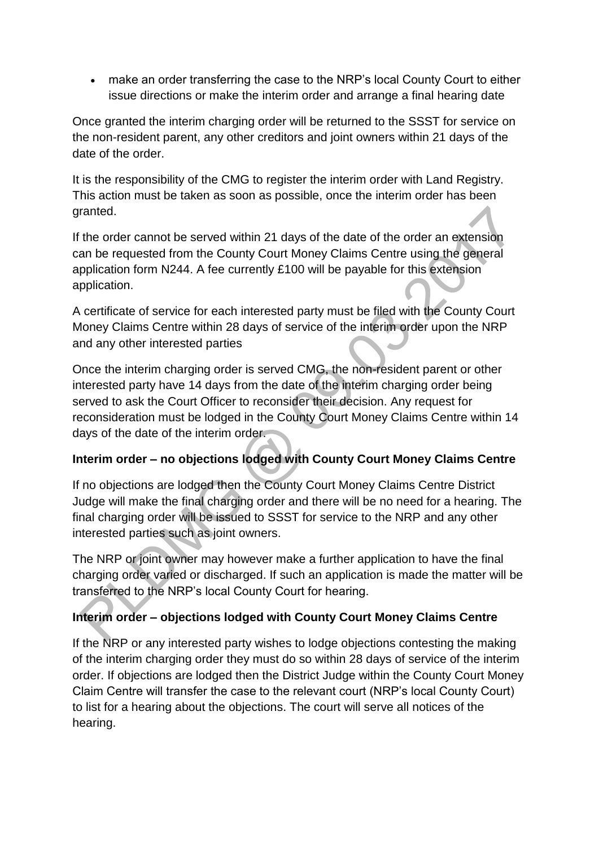make an order transferring the case to the NRP's local County Court to either issue directions or make the interim order and arrange a final hearing date

Once granted the interim charging order will be returned to the SSST for service on the non-resident parent, any other creditors and joint owners within 21 days of the date of the order.

It is the responsibility of the CMG to register the interim order with Land Registry. This action must be taken as soon as possible, once the interim order has been granted.

If the order cannot be served within 21 days of the date of the order an extension can be requested from the County Court Money Claims Centre using the general application form N244. A fee currently £100 will be payable for this extension application.

A certificate of service for each interested party must be filed with the County Court Money Claims Centre within 28 days of service of the interim order upon the NRP and any other interested parties

Once the interim charging order is served CMG, the non-resident parent or other interested party have 14 days from the date of the interim charging order being served to ask the Court Officer to reconsider their decision. Any request for reconsideration must be lodged in the County Court Money Claims Centre within 14 days of the date of the interim order.

# **Interim order – no objections lodged with County Court Money Claims Centre**

If no objections are lodged then the County Court Money Claims Centre District Judge will make the final charging order and there will be no need for a hearing. The final charging order will be issued to SSST for service to the NRP and any other interested parties such as joint owners.

The NRP or joint owner may however make a further application to have the final charging order varied or discharged. If such an application is made the matter will be transferred to the NRP's local County Court for hearing.

# **Interim order – objections lodged with County Court Money Claims Centre**

If the NRP or any interested party wishes to lodge objections contesting the making of the interim charging order they must do so within 28 days of service of the interim order. If objections are lodged then the District Judge within the County Court Money Claim Centre will transfer the case to the relevant court (NRP's local County Court) to list for a hearing about the objections. The court will serve all notices of the hearing.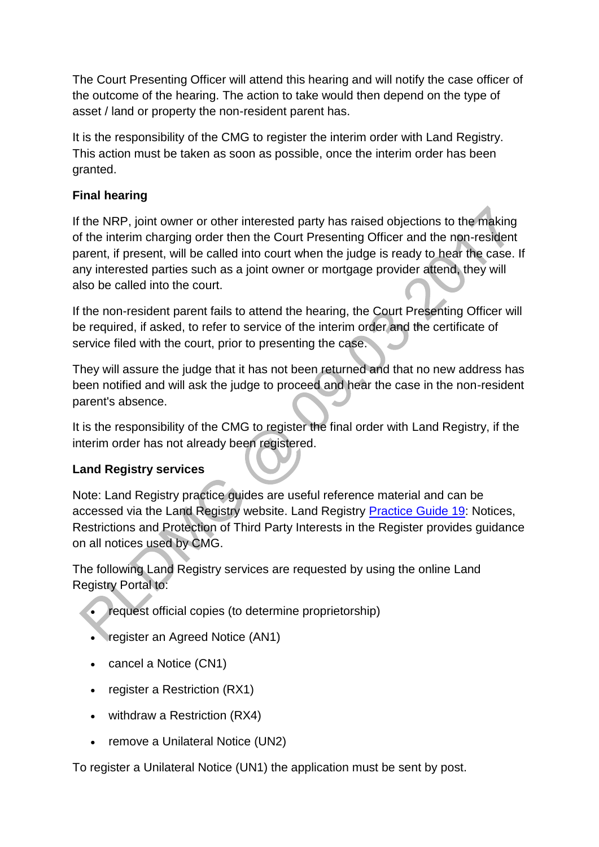The Court Presenting Officer will attend this hearing and will notify the case officer of the outcome of the hearing. The action to take would then depend on the type of asset / land or property the non-resident parent has.

It is the responsibility of the CMG to register the interim order with Land Registry. This action must be taken as soon as possible, once the interim order has been granted.

## **Final hearing**

If the NRP, joint owner or other interested party has raised objections to the making of the interim charging order then the Court Presenting Officer and the non-resident parent, if present, will be called into court when the judge is ready to hear the case. If any interested parties such as a joint owner or mortgage provider attend, they will also be called into the court.

If the non-resident parent fails to attend the hearing, the Court Presenting Officer will be required, if asked, to refer to service of the interim order and the certificate of service filed with the court, prior to presenting the case.

They will assure the judge that it has not been returned and that no new address has been notified and will ask the judge to proceed and hear the case in the non-resident parent's absence.

It is the responsibility of the CMG to register the final order with Land Registry, if the interim order has not already been registered.

## **Land Registry services**

Note: Land Registry practice guides are useful reference material and can be accessed via the Land Registry website. Land Registry [Practice Guide 19:](https://www.gov.uk/government/publications/notices-restrictions-and-the-protection-of-third-party-interests-in-the-register/practice-guide-19-notices-restrictions-and-the-protection-of-third-party-interests-in-the-register) Notices, Restrictions and Protection of Third Party Interests in the Register provides guidance on all notices used by CMG.

The following Land Registry services are requested by using the online Land Registry Portal to:

- request official copies (to determine proprietorship)
- register an Agreed Notice (AN1)
- cancel a Notice (CN1)
- register a Restriction (RX1)
- withdraw a Restriction (RX4)
- remove a Unilateral Notice (UN2)

To register a Unilateral Notice (UN1) the application must be sent by post.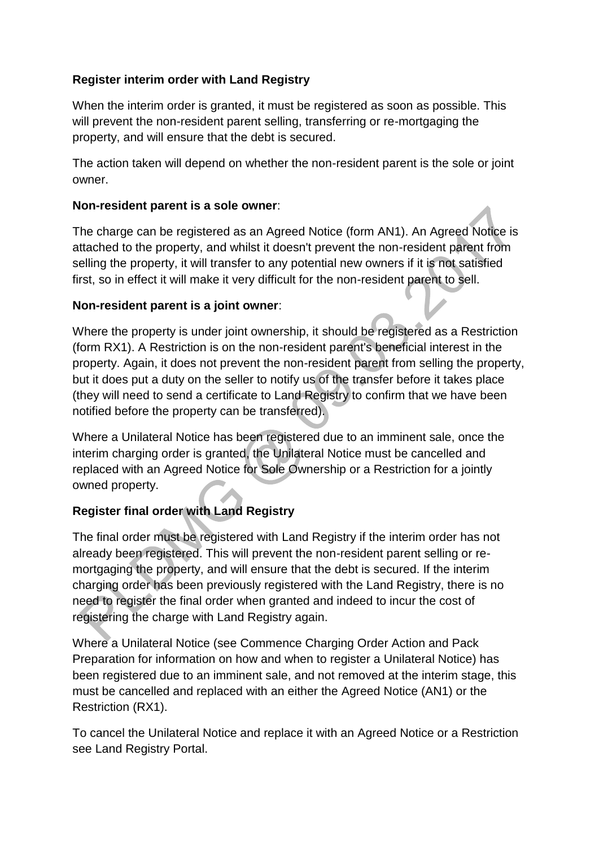## **Register interim order with Land Registry**

When the interim order is granted, it must be registered as soon as possible. This will prevent the non-resident parent selling, transferring or re-mortgaging the property, and will ensure that the debt is secured.

The action taken will depend on whether the non-resident parent is the sole or joint owner.

### **Non-resident parent is a sole owner**:

The charge can be registered as an Agreed Notice (form AN1). An Agreed Notice is attached to the property, and whilst it doesn't prevent the non-resident parent from selling the property, it will transfer to any potential new owners if it is not satisfied first, so in effect it will make it very difficult for the non-resident parent to sell.

## **Non-resident parent is a joint owner**:

Where the property is under joint ownership, it should be registered as a Restriction (form RX1). A Restriction is on the non-resident parent's beneficial interest in the property. Again, it does not prevent the non-resident parent from selling the property, but it does put a duty on the seller to notify us of the transfer before it takes place (they will need to send a certificate to Land Registry to confirm that we have been notified before the property can be transferred).

Where a Unilateral Notice has been registered due to an imminent sale, once the interim charging order is granted, the Unilateral Notice must be cancelled and replaced with an Agreed Notice for Sole Ownership or a Restriction for a jointly owned property.

# **Register final order with Land Registry**

The final order must be registered with Land Registry if the interim order has not already been registered. This will prevent the non-resident parent selling or remortgaging the property, and will ensure that the debt is secured. If the interim charging order has been previously registered with the Land Registry, there is no need to register the final order when granted and indeed to incur the cost of registering the charge with Land Registry again.

Where a Unilateral Notice (see Commence Charging Order Action and Pack Preparation for information on how and when to register a Unilateral Notice) has been registered due to an imminent sale, and not removed at the interim stage, this must be cancelled and replaced with an either the Agreed Notice (AN1) or the Restriction (RX1).

To cancel the Unilateral Notice and replace it with an Agreed Notice or a Restriction see Land Registry Portal.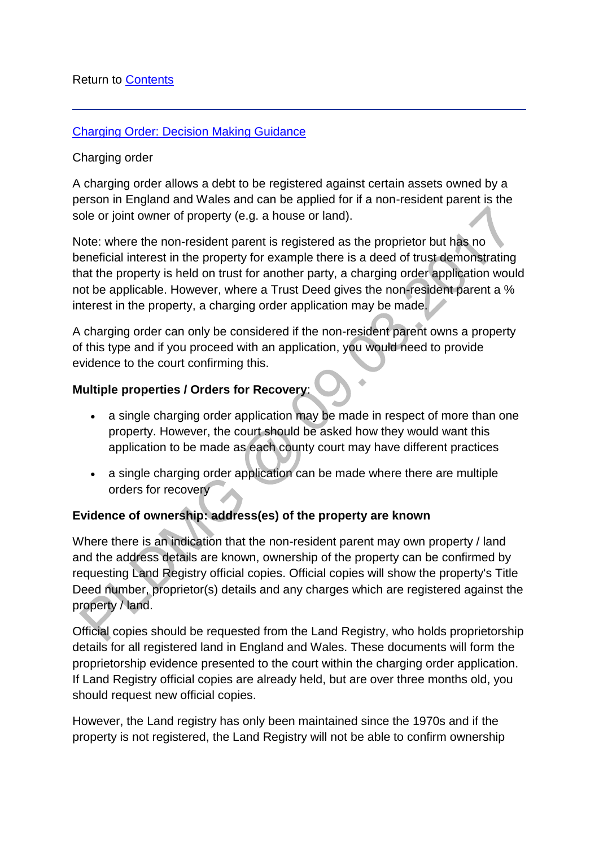#### [Charging Order: Decision Making Guidance](http://np-cmg-sharepoint.link2.gpn.gov.uk/sites/policy-law-and-decision-making-guidance/Pages/Legal%20Enforcement%20-%20England%20and%20Wales/Charging-Orders.aspx)

#### Charging order

A charging order allows a debt to be registered against certain assets owned by a person in England and Wales and can be applied for if a non-resident parent is the sole or joint owner of property (e.g. a house or land).

Note: where the non-resident parent is registered as the proprietor but has no beneficial interest in the property for example there is a deed of trust demonstrating that the property is held on trust for another party, a charging order application would not be applicable. However, where a Trust Deed gives the non-resident parent a % interest in the property, a charging order application may be made.

A charging order can only be considered if the non-resident parent owns a property of this type and if you proceed with an application, you would need to provide evidence to the court confirming this.

#### **Multiple properties / Orders for Recovery**:

- a single charging order application may be made in respect of more than one property. However, the court should be asked how they would want this application to be made as each county court may have different practices
- a single charging order application can be made where there are multiple orders for recovery

### **Evidence of ownership: address(es) of the property are known**

Where there is an indication that the non-resident parent may own property / land and the address details are known, ownership of the property can be confirmed by requesting Land Registry official copies. Official copies will show the property's Title Deed number, proprietor(s) details and any charges which are registered against the property / land.

Official copies should be requested from the Land Registry, who holds proprietorship details for all registered land in England and Wales. These documents will form the proprietorship evidence presented to the court within the charging order application. If Land Registry official copies are already held, but are over three months old, you should request new official copies.

However, the Land registry has only been maintained since the 1970s and if the property is not registered, the Land Registry will not be able to confirm ownership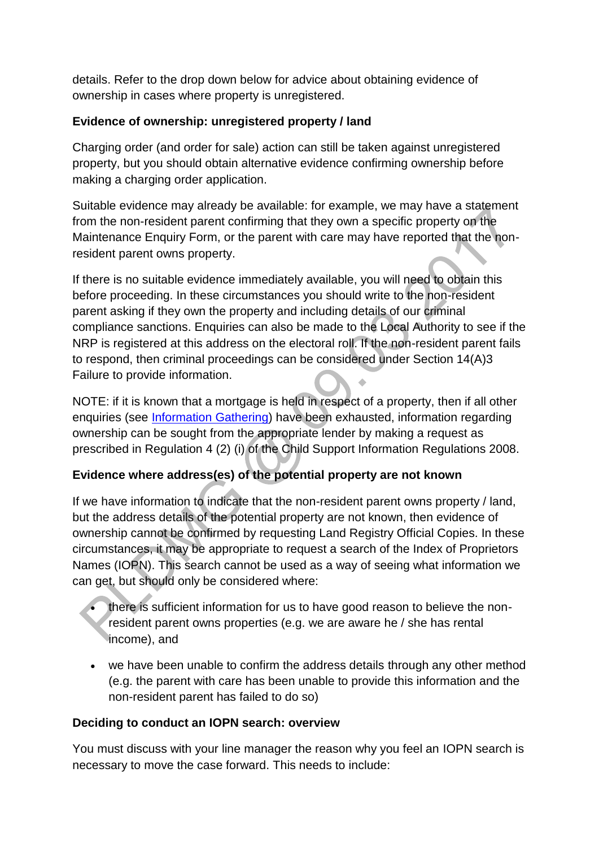details. Refer to the drop down below for advice about obtaining evidence of ownership in cases where property is unregistered.

### **Evidence of ownership: unregistered property / land**

Charging order (and order for sale) action can still be taken against unregistered property, but you should obtain alternative evidence confirming ownership before making a charging order application.

Suitable evidence may already be available: for example, we may have a statement from the non-resident parent confirming that they own a specific property on the Maintenance Enquiry Form, or the parent with care may have reported that the nonresident parent owns property.

If there is no suitable evidence immediately available, you will need to obtain this before proceeding. In these circumstances you should write to the non-resident parent asking if they own the property and including details of our criminal compliance sanctions. Enquiries can also be made to the Local Authority to see if the NRP is registered at this address on the electoral roll. If the non-resident parent fails to respond, then criminal proceedings can be considered under Section 14(A)3 Failure to provide information.

NOTE: if it is known that a mortgage is held in respect of a property, then if all other enquiries (see [Information Gathering\)](http://np-cmg-sharepoint.link2.gpn.gov.uk/sites/policy-law-and-decision-making-guidance/Pages/Legal%20Enforcement%20-%20England%20and%20Wales/Charging-Orders.aspx) have been exhausted, information regarding ownership can be sought from the appropriate lender by making a request as prescribed in Regulation 4 (2) (i) of the Child Support Information Regulations 2008.

## **Evidence where address(es) of the potential property are not known**

If we have information to indicate that the non-resident parent owns property / land, but the address details of the potential property are not known, then evidence of ownership cannot be confirmed by requesting Land Registry Official Copies. In these circumstances, it may be appropriate to request a search of the Index of Proprietors Names (IOPN). This search cannot be used as a way of seeing what information we can get, but should only be considered where:

- there is sufficient information for us to have good reason to believe the nonresident parent owns properties (e.g. we are aware he / she has rental income), and
- we have been unable to confirm the address details through any other method (e.g. the parent with care has been unable to provide this information and the non-resident parent has failed to do so)

### **Deciding to conduct an IOPN search: overview**

You must discuss with your line manager the reason why you feel an IOPN search is necessary to move the case forward. This needs to include: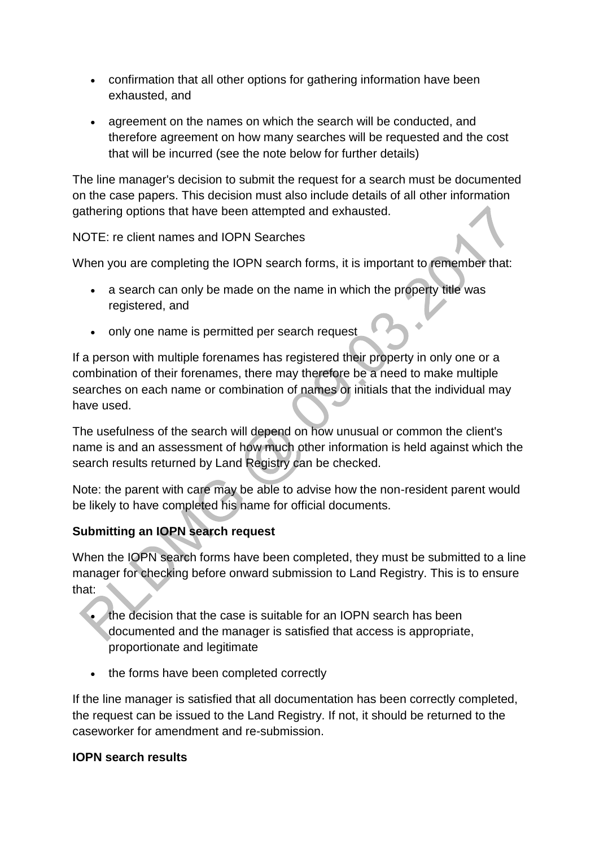- confirmation that all other options for gathering information have been exhausted, and
- agreement on the names on which the search will be conducted, and therefore agreement on how many searches will be requested and the cost that will be incurred (see the note below for further details)

The line manager's decision to submit the request for a search must be documented on the case papers. This decision must also include details of all other information gathering options that have been attempted and exhausted.

NOTE: re client names and IOPN Searches

When you are completing the IOPN search forms, it is important to remember that:

- a search can only be made on the name in which the property title was registered, and
- only one name is permitted per search request

If a person with multiple forenames has registered their property in only one or a combination of their forenames, there may therefore be a need to make multiple searches on each name or combination of names or initials that the individual may have used.

The usefulness of the search will depend on how unusual or common the client's name is and an assessment of how much other information is held against which the search results returned by Land Registry can be checked.

Note: the parent with care may be able to advise how the non-resident parent would be likely to have completed his name for official documents.

## **Submitting an IOPN search request**

When the IOPN search forms have been completed, they must be submitted to a line manager for checking before onward submission to Land Registry. This is to ensure that:

- the decision that the case is suitable for an IOPN search has been documented and the manager is satisfied that access is appropriate, proportionate and legitimate
- the forms have been completed correctly

If the line manager is satisfied that all documentation has been correctly completed, the request can be issued to the Land Registry. If not, it should be returned to the caseworker for amendment and re-submission.

### **IOPN search results**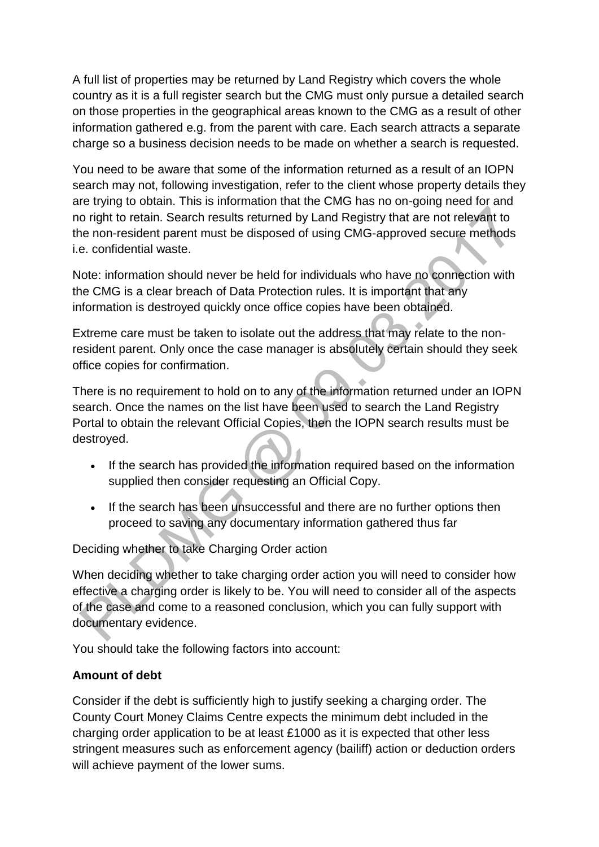A full list of properties may be returned by Land Registry which covers the whole country as it is a full register search but the CMG must only pursue a detailed search on those properties in the geographical areas known to the CMG as a result of other information gathered e.g. from the parent with care. Each search attracts a separate charge so a business decision needs to be made on whether a search is requested.

You need to be aware that some of the information returned as a result of an IOPN search may not, following investigation, refer to the client whose property details they are trying to obtain. This is information that the CMG has no on-going need for and no right to retain. Search results returned by Land Registry that are not relevant to the non-resident parent must be disposed of using CMG-approved secure methods i.e. confidential waste.

Note: information should never be held for individuals who have no connection with the CMG is a clear breach of Data Protection rules. It is important that any information is destroyed quickly once office copies have been obtained.

Extreme care must be taken to isolate out the address that may relate to the nonresident parent. Only once the case manager is absolutely certain should they seek office copies for confirmation.

There is no requirement to hold on to any of the information returned under an IOPN search. Once the names on the list have been used to search the Land Registry Portal to obtain the relevant Official Copies, then the IOPN search results must be destroyed.

- If the search has provided the information required based on the information supplied then consider requesting an Official Copy.
- If the search has been unsuccessful and there are no further options then proceed to saving any documentary information gathered thus far

Deciding whether to take Charging Order action

When deciding whether to take charging order action you will need to consider how effective a charging order is likely to be. You will need to consider all of the aspects of the case and come to a reasoned conclusion, which you can fully support with documentary evidence.

You should take the following factors into account:

## **Amount of debt**

Consider if the debt is sufficiently high to justify seeking a charging order. The County Court Money Claims Centre expects the minimum debt included in the charging order application to be at least £1000 as it is expected that other less stringent measures such as enforcement agency (bailiff) action or deduction orders will achieve payment of the lower sums.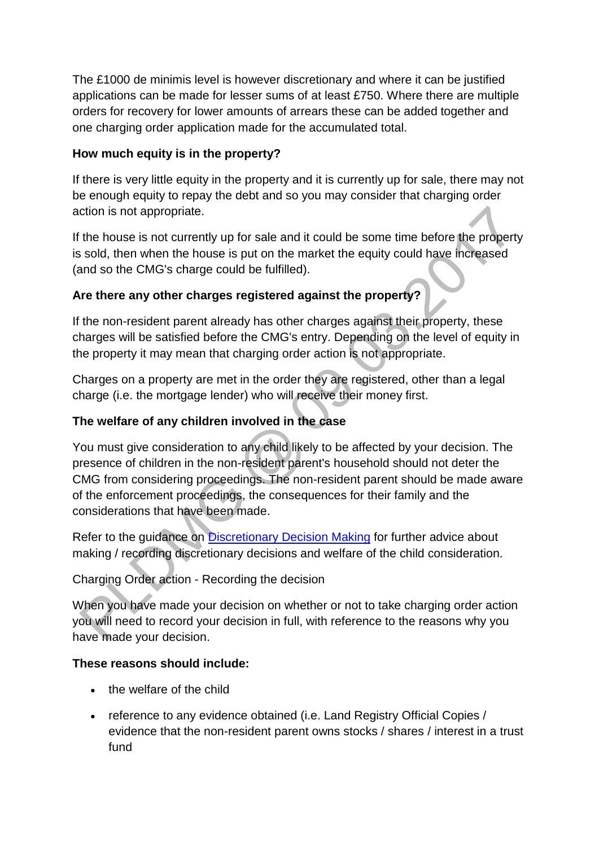The £1000 de minimis level is however discretionary and where it can be justified applications can be made for lesser sums of at least £750. Where there are multiple orders for recovery for lower amounts of arrears these can be added together and one charging order application made for the accumulated total.

## **How much equity is in the property?**

If there is very little equity in the property and it is currently up for sale, there may not be enough equity to repay the debt and so you may consider that charging order action is not appropriate.

If the house is not currently up for sale and it could be some time before the property is sold, then when the house is put on the market the equity could have increased (and so the CMG's charge could be fulfilled).

# **Are there any other charges registered against the property?**

If the non-resident parent already has other charges against their property, these charges will be satisfied before the CMG's entry. Depending on the level of equity in the property it may mean that charging order action is not appropriate.

Charges on a property are met in the order they are registered, other than a legal charge (i.e. the mortgage lender) who will receive their money first.

# **The welfare of any children involved in the case**

You must give consideration to any child likely to be affected by your decision. The presence of children in the non-resident parent's household should not deter the CMG from considering proceedings. The non-resident parent should be made aware of the enforcement proceedings, the consequences for their family and the considerations that have been made.

Refer to the guidance on [Discretionary Decision Making](http://np-cmg-sharepoint.link2.gpn.gov.uk/sites/policy-law-and-decision-making-guidance/Pages/Evidence%20and%20decision%20making/Evidence-and-decision-making.aspx#DDMguidance) for further advice about making / recording discretionary decisions and welfare of the child consideration.

# Charging Order action - Recording the decision

When you have made your decision on whether or not to take charging order action you will need to record your decision in full, with reference to the reasons why you have made your decision.

## **These reasons should include:**

- . the welfare of the child
- reference to any evidence obtained (i.e. Land Registry Official Copies / evidence that the non-resident parent owns stocks / shares / interest in a trust fund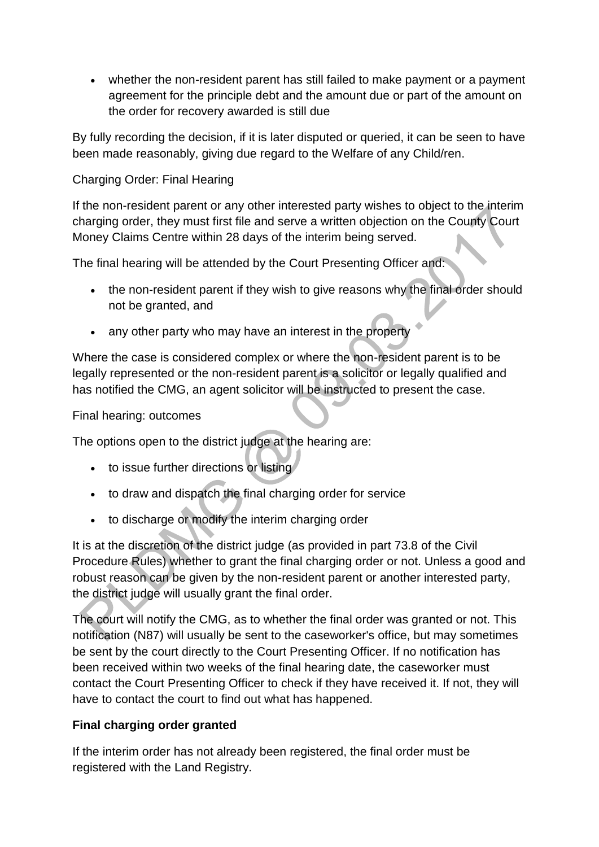whether the non-resident parent has still failed to make payment or a payment agreement for the principle debt and the amount due or part of the amount on the order for recovery awarded is still due

By fully recording the decision, if it is later disputed or queried, it can be seen to have been made reasonably, giving due regard to the Welfare of any Child/ren.

### Charging Order: Final Hearing

If the non-resident parent or any other interested party wishes to object to the interim charging order, they must first file and serve a written objection on the County Court Money Claims Centre within 28 days of the interim being served.

The final hearing will be attended by the Court Presenting Officer and:

- the non-resident parent if they wish to give reasons why the final order should not be granted, and
- any other party who may have an interest in the property

Where the case is considered complex or where the non-resident parent is to be legally represented or the non-resident parent is a solicitor or legally qualified and has notified the CMG, an agent solicitor will be instructed to present the case.

Final hearing: outcomes

The options open to the district judge at the hearing are:

- to issue further directions or listing
- to draw and dispatch the final charging order for service
- to discharge or modify the interim charging order

It is at the discretion of the district judge (as provided in part 73.8 of the Civil Procedure Rules) whether to grant the final charging order or not. Unless a good and robust reason can be given by the non-resident parent or another interested party, the district judge will usually grant the final order.

The court will notify the CMG, as to whether the final order was granted or not. This notification (N87) will usually be sent to the caseworker's office, but may sometimes be sent by the court directly to the Court Presenting Officer. If no notification has been received within two weeks of the final hearing date, the caseworker must contact the Court Presenting Officer to check if they have received it. If not, they will have to contact the court to find out what has happened.

### **Final charging order granted**

If the interim order has not already been registered, the final order must be registered with the Land Registry.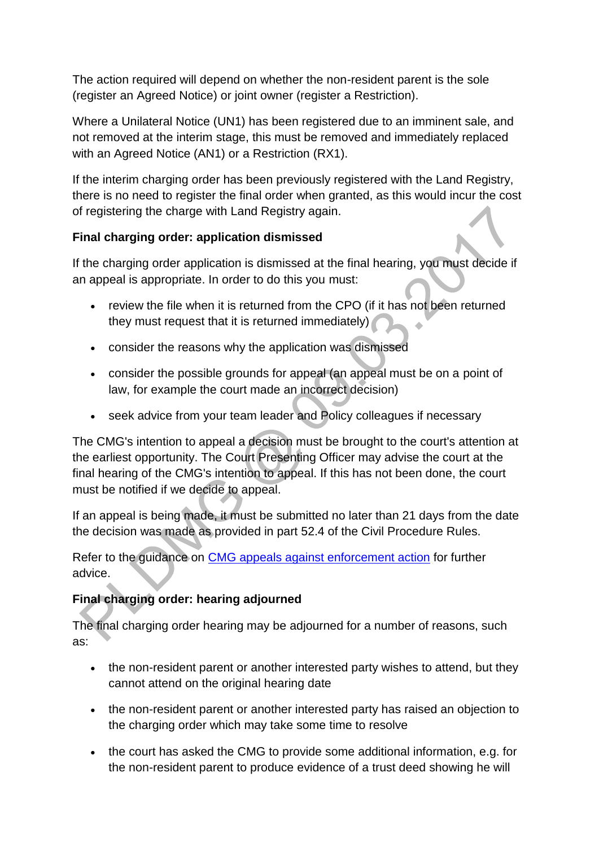The action required will depend on whether the non-resident parent is the sole (register an Agreed Notice) or joint owner (register a Restriction).

Where a Unilateral Notice (UN1) has been registered due to an imminent sale, and not removed at the interim stage, this must be removed and immediately replaced with an Agreed Notice (AN1) or a Restriction (RX1).

If the interim charging order has been previously registered with the Land Registry, there is no need to register the final order when granted, as this would incur the cost of registering the charge with Land Registry again.

### **Final charging order: application dismissed**

If the charging order application is dismissed at the final hearing, you must decide if an appeal is appropriate. In order to do this you must:

- review the file when it is returned from the CPO (if it has not been returned they must request that it is returned immediately)
- consider the reasons why the application was dismissed
- consider the possible grounds for appeal (an appeal must be on a point of law, for example the court made an incorrect decision)
- seek advice from your team leader and Policy colleagues if necessary

The CMG's intention to appeal a decision must be brought to the court's attention at the earliest opportunity. The Court Presenting Officer may advise the court at the final hearing of the CMG's intention to appeal. If this has not been done, the court must be notified if we decide to appeal.

If an appeal is being made, it must be submitted no later than 21 days from the date the decision was made as provided in part 52.4 of the Civil Procedure Rules.

Refer to the guidance on [CMG appeals against enforcement action](http://np-cmg-sharepoint.link2.gpn.gov.uk/sites/policy-law-and-decision-making-guidance/Pages/Legal%20Enforcement%20-%20England%20and%20Wales/Commission-appeals-against-court-decisions.aspx) for further advice.

## **Final charging order: hearing adjourned**

The final charging order hearing may be adjourned for a number of reasons, such as:

- the non-resident parent or another interested party wishes to attend, but they cannot attend on the original hearing date
- the non-resident parent or another interested party has raised an objection to the charging order which may take some time to resolve
- the court has asked the CMG to provide some additional information, e.g. for the non-resident parent to produce evidence of a trust deed showing he will